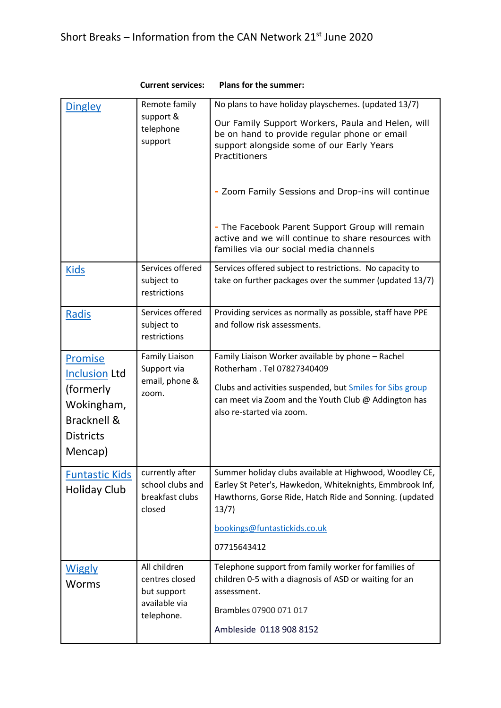| <b>Dingley</b>                                                                                                  | Remote family<br>support &<br>telephone<br>support                           | No plans to have holiday playschemes. (updated 13/7)                                                                                                                                                                                   |
|-----------------------------------------------------------------------------------------------------------------|------------------------------------------------------------------------------|----------------------------------------------------------------------------------------------------------------------------------------------------------------------------------------------------------------------------------------|
|                                                                                                                 |                                                                              | Our Family Support Workers, Paula and Helen, will<br>be on hand to provide regular phone or email<br>support alongside some of our Early Years<br>Practitioners                                                                        |
|                                                                                                                 |                                                                              | - Zoom Family Sessions and Drop-ins will continue                                                                                                                                                                                      |
|                                                                                                                 |                                                                              | - The Facebook Parent Support Group will remain<br>active and we will continue to share resources with<br>families via our social media channels                                                                                       |
| <b>Kids</b>                                                                                                     | Services offered<br>subject to<br>restrictions                               | Services offered subject to restrictions. No capacity to<br>take on further packages over the summer (updated 13/7)                                                                                                                    |
| Radis                                                                                                           | Services offered<br>subject to<br>restrictions                               | Providing services as normally as possible, staff have PPE<br>and follow risk assessments.                                                                                                                                             |
| <b>Promise</b><br><b>Inclusion Ltd</b><br>(formerly<br>Wokingham,<br>Bracknell &<br><b>Districts</b><br>Mencap) | <b>Family Liaison</b><br>Support via<br>email, phone &<br>zoom.              | Family Liaison Worker available by phone - Rachel<br>Rotherham . Tel 07827340409<br>Clubs and activities suspended, but Smiles for Sibs group<br>can meet via Zoom and the Youth Club @ Addington has<br>also re-started via zoom.     |
| <b>Funtastic Kids</b><br><b>Holiday Club</b>                                                                    | currently after<br>school clubs and<br>breakfast clubs<br>closed             | Summer holiday clubs available at Highwood, Woodley CE,<br>Earley St Peter's, Hawkedon, Whiteknights, Emmbrook Inf,<br>Hawthorns, Gorse Ride, Hatch Ride and Sonning. (updated<br>13/7)<br>bookings@funtastickids.co.uk<br>07715643412 |
| <b>Wiggly</b><br><b>Worms</b>                                                                                   | All children<br>centres closed<br>but support<br>available via<br>telephone. | Telephone support from family worker for families of<br>children 0-5 with a diagnosis of ASD or waiting for an<br>assessment.<br>Brambles 07900 071 017<br>Ambleside 0118 908 8152                                                     |

 **Current services: Plans for the summer:**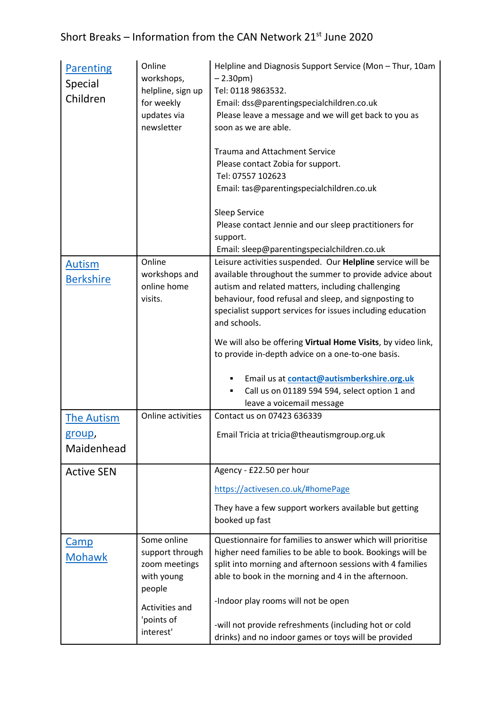## Short Breaks – Information from the CAN Network  $21^{st}$  June 2020

| <b>Parenting</b><br><b>Special</b><br>Children                                         | Online<br>workshops,<br>helpline, sign up<br>for weekly<br>updates via<br>newsletter | Helpline and Diagnosis Support Service (Mon - Thur, 10am<br>$-2.30$ pm)<br>Tel: 0118 9863532.<br>Email: dss@parentingspecialchildren.co.uk<br>Please leave a message and we will get back to you as<br>soon as we are able.<br><b>Trauma and Attachment Service</b><br>Please contact Zobia for support.<br>Tel: 07557 102623<br>Email: tas@parentingspecialchildren.co.uk<br>Sleep Service<br>Please contact Jennie and our sleep practitioners for<br>support.                                                                                                                                                                                      |
|----------------------------------------------------------------------------------------|--------------------------------------------------------------------------------------|-------------------------------------------------------------------------------------------------------------------------------------------------------------------------------------------------------------------------------------------------------------------------------------------------------------------------------------------------------------------------------------------------------------------------------------------------------------------------------------------------------------------------------------------------------------------------------------------------------------------------------------------------------|
|                                                                                        |                                                                                      | Email: sleep@parentingspecialchildren.co.uk                                                                                                                                                                                                                                                                                                                                                                                                                                                                                                                                                                                                           |
| <b>Autism</b><br><b>Berkshire</b><br><b>The Autism</b><br><u>group</u> ,<br>Maidenhead | Online<br>workshops and<br>online home<br>visits.<br>Online activities               | Leisure activities suspended. Our Helpline service will be<br>available throughout the summer to provide advice about<br>autism and related matters, including challenging<br>behaviour, food refusal and sleep, and signposting to<br>specialist support services for issues including education<br>and schools.<br>We will also be offering Virtual Home Visits, by video link,<br>to provide in-depth advice on a one-to-one basis.<br>Email us at contact@autismberkshire.org.uk<br>Call us on 01189 594 594, select option 1 and<br>٠<br>leave a voicemail message<br>Contact us on 07423 636339<br>Email Tricia at tricia@theautismgroup.org.uk |
|                                                                                        |                                                                                      |                                                                                                                                                                                                                                                                                                                                                                                                                                                                                                                                                                                                                                                       |
| <b>Active SEN</b>                                                                      |                                                                                      | Agency - £22.50 per hour                                                                                                                                                                                                                                                                                                                                                                                                                                                                                                                                                                                                                              |
|                                                                                        |                                                                                      | https://activesen.co.uk/#homePage                                                                                                                                                                                                                                                                                                                                                                                                                                                                                                                                                                                                                     |
|                                                                                        |                                                                                      | They have a few support workers available but getting<br>booked up fast                                                                                                                                                                                                                                                                                                                                                                                                                                                                                                                                                                               |
| <b>Camp</b><br><b>Mohawk</b>                                                           | Some online<br>support through<br>zoom meetings<br>with young<br>people              | Questionnaire for families to answer which will prioritise<br>higher need families to be able to book. Bookings will be<br>split into morning and afternoon sessions with 4 families<br>able to book in the morning and 4 in the afternoon.<br>-Indoor play rooms will not be open                                                                                                                                                                                                                                                                                                                                                                    |
|                                                                                        | Activities and<br>'points of<br>interest'                                            | -will not provide refreshments (including hot or cold<br>drinks) and no indoor games or toys will be provided                                                                                                                                                                                                                                                                                                                                                                                                                                                                                                                                         |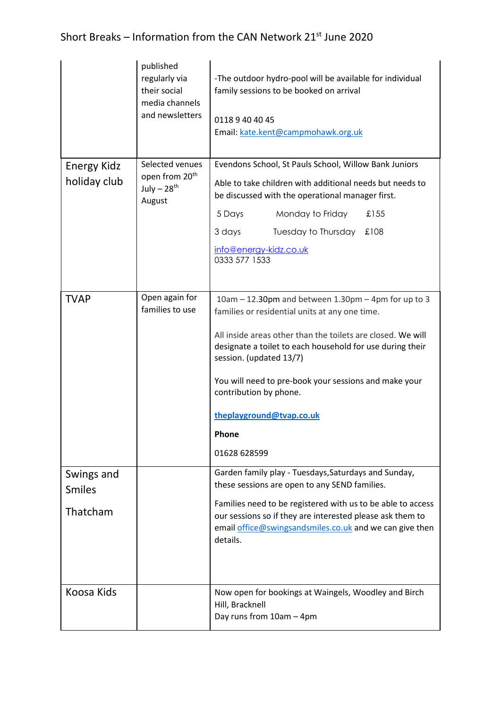|                                         | published<br>regularly via<br>their social<br>media channels<br>and newsletters     | -The outdoor hydro-pool will be available for individual<br>family sessions to be booked on arrival<br>0118 9 40 40 45<br>Email: kate.kent@campmohawk.org.uk                                                                                                                                             |
|-----------------------------------------|-------------------------------------------------------------------------------------|----------------------------------------------------------------------------------------------------------------------------------------------------------------------------------------------------------------------------------------------------------------------------------------------------------|
| <b>Energy Kidz</b><br>holiday club      | Selected venues<br>open from 20 <sup>th</sup><br>July $-28$ <sup>th</sup><br>August | Evendons School, St Pauls School, Willow Bank Juniors<br>Able to take children with additional needs but needs to<br>be discussed with the operational manager first.<br>5 Days<br>Monday to Friday<br>£155<br>3 days<br>Tuesday to Thursday<br>£108<br>info@energy-kidz.co.uk<br>0333 577 1533          |
| <b>TVAP</b>                             | Open again for<br>families to use                                                   | 10am - 12.30pm and between 1.30pm - 4pm for up to 3<br>families or residential units at any one time.<br>All inside areas other than the toilets are closed. We will                                                                                                                                     |
|                                         |                                                                                     | designate a toilet to each household for use during their<br>session. (updated 13/7)<br>You will need to pre-book your sessions and make your<br>contribution by phone.                                                                                                                                  |
|                                         |                                                                                     | theplayground@tvap.co.uk<br>Phone                                                                                                                                                                                                                                                                        |
|                                         |                                                                                     | 01628 628599                                                                                                                                                                                                                                                                                             |
| Swings and<br><b>Smiles</b><br>Thatcham |                                                                                     | Garden family play - Tuesdays, Saturdays and Sunday,<br>these sessions are open to any SEND families.<br>Families need to be registered with us to be able to access<br>our sessions so if they are interested please ask them to<br>email office@swingsandsmiles.co.uk and we can give then<br>details. |
| Koosa Kids                              |                                                                                     | Now open for bookings at Waingels, Woodley and Birch<br>Hill, Bracknell                                                                                                                                                                                                                                  |
|                                         |                                                                                     | Day runs from 10am - 4pm                                                                                                                                                                                                                                                                                 |